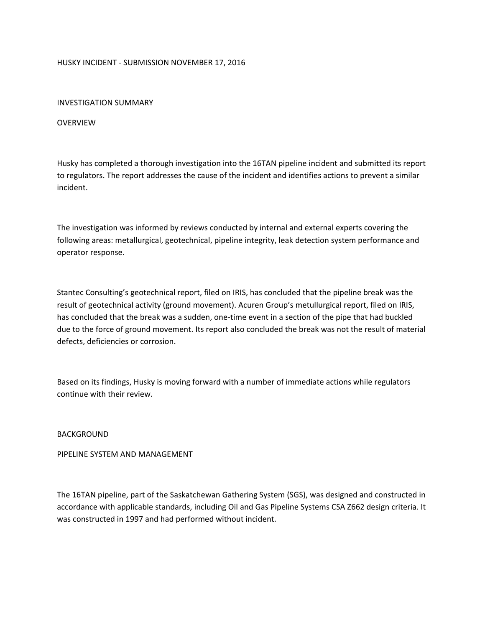HUSKY INCIDENT ‐ SUBMISSION NOVEMBER 17, 2016

INVESTIGATION SUMMARY

OVERVIEW

Husky has completed a thorough investigation into the 16TAN pipeline incident and submitted its report to regulators. The report addresses the cause of the incident and identifies actions to prevent a similar incident.

The investigation was informed by reviews conducted by internal and external experts covering the following areas: metallurgical, geotechnical, pipeline integrity, leak detection system performance and operator response.

Stantec Consulting's geotechnical report, filed on IRIS, has concluded that the pipeline break was the result of geotechnical activity (ground movement). Acuren Group's metullurgical report, filed on IRIS, has concluded that the break was a sudden, one-time event in a section of the pipe that had buckled due to the force of ground movement. Its report also concluded the break was not the result of material defects, deficiencies or corrosion.

Based on its findings, Husky is moving forward with a number of immediate actions while regulators continue with their review.

BACKGROUND

PIPELINE SYSTEM AND MANAGEMENT

The 16TAN pipeline, part of the Saskatchewan Gathering System (SGS), was designed and constructed in accordance with applicable standards, including Oil and Gas Pipeline Systems CSA Z662 design criteria. It was constructed in 1997 and had performed without incident.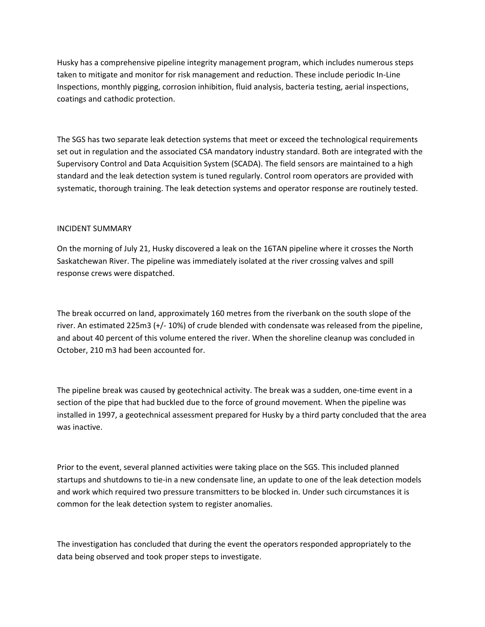Husky has a comprehensive pipeline integrity management program, which includes numerous steps taken to mitigate and monitor for risk management and reduction. These include periodic In‐Line Inspections, monthly pigging, corrosion inhibition, fluid analysis, bacteria testing, aerial inspections, coatings and cathodic protection.

The SGS has two separate leak detection systems that meet or exceed the technological requirements set out in regulation and the associated CSA mandatory industry standard. Both are integrated with the Supervisory Control and Data Acquisition System (SCADA). The field sensors are maintained to a high standard and the leak detection system is tuned regularly. Control room operators are provided with systematic, thorough training. The leak detection systems and operator response are routinely tested.

## INCIDENT SUMMARY

On the morning of July 21, Husky discovered a leak on the 16TAN pipeline where it crosses the North Saskatchewan River. The pipeline was immediately isolated at the river crossing valves and spill response crews were dispatched.

The break occurred on land, approximately 160 metres from the riverbank on the south slope of the river. An estimated 225m3 (+/‐ 10%) of crude blended with condensate was released from the pipeline, and about 40 percent of this volume entered the river. When the shoreline cleanup was concluded in October, 210 m3 had been accounted for.

The pipeline break was caused by geotechnical activity. The break was a sudden, one-time event in a section of the pipe that had buckled due to the force of ground movement. When the pipeline was installed in 1997, a geotechnical assessment prepared for Husky by a third party concluded that the area was inactive.

Prior to the event, several planned activities were taking place on the SGS. This included planned startups and shutdowns to tie‐in a new condensate line, an update to one of the leak detection models and work which required two pressure transmitters to be blocked in. Under such circumstances it is common for the leak detection system to register anomalies.

The investigation has concluded that during the event the operators responded appropriately to the data being observed and took proper steps to investigate.